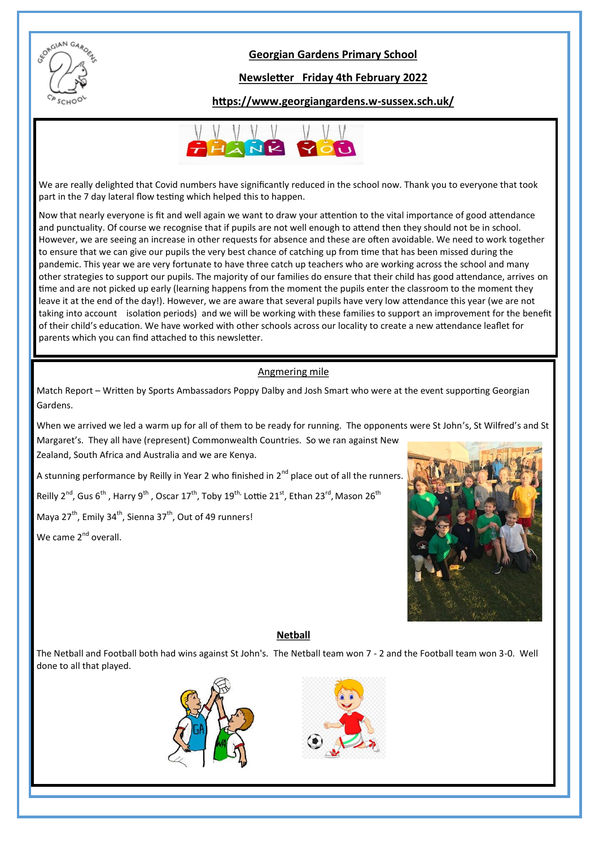

#### **Georgian Gardens Primary School**

#### **Newsletter Friday 4th February 2022**

#### **https://www.georgiangardens.w-sussex.sch.uk/**



We are really delighted that Covid numbers have significantly reduced in the school now. Thank you to everyone that took part in the 7 day lateral flow testing which helped this to happen.

Now that nearly everyone is fit and well again we want to draw your attention to the vital importance of good attendance and punctuality. Of course we recognise that if pupils are not well enough to attend then they should not be in school. However, we are seeing an increase in other requests for absence and these are often avoidable. We need to work together to ensure that we can give our pupils the very best chance of catching up from time that has been missed during the pandemic. This year we are very fortunate to have three catch up teachers who are working across the school and many other strategies to support our pupils. The majority of our families do ensure that their child has good attendance, arrives on time and are not picked up early (learning happens from the moment the pupils enter the classroom to the moment they leave it at the end of the day!). However, we are aware that several pupils have very low attendance this year (we are not taking into account isolation periods) and we will be working with these families to support an improvement for the benefit of their child's education. We have worked with other schools across our locality to create a new attendance leaflet for parents which you can find attached to this newsletter.

#### Angmering mile

Match Report – Written by Sports Ambassadors Poppy Dalby and Josh Smart who were at the event supporting Georgian Gardens.

When we arrived we led a warm up for all of them to be ready for running. The opponents were St John's, St Wilfred's and St Margaret's. They all have (represent) Commonwealth Countries. So we ran against New

Zealand, South Africa and Australia and we are Kenya.

A stunning performance by Reilly in Year 2 who finished in  $2^{nd}$  place out of all the runners.

Reilly 2<sup>nd</sup>, Gus 6<sup>th</sup> , Harry 9<sup>th</sup> , Oscar 17<sup>th</sup>, Toby 19<sup>th,</sup> Lottie 21<sup>st</sup>, Ethan 23<sup>rd</sup>, Mason 26<sup>th</sup>

Maya  $27^{th}$ , Emily 34<sup>th</sup>, Sienna 37<sup>th</sup>, Out of 49 runners!

We came 2<sup>nd</sup> overall.



#### **Netball**

The Netball and Football both had wins against St John's. The Netball team won 7 - 2 and the Football team won 3-0. Well done to all that played.



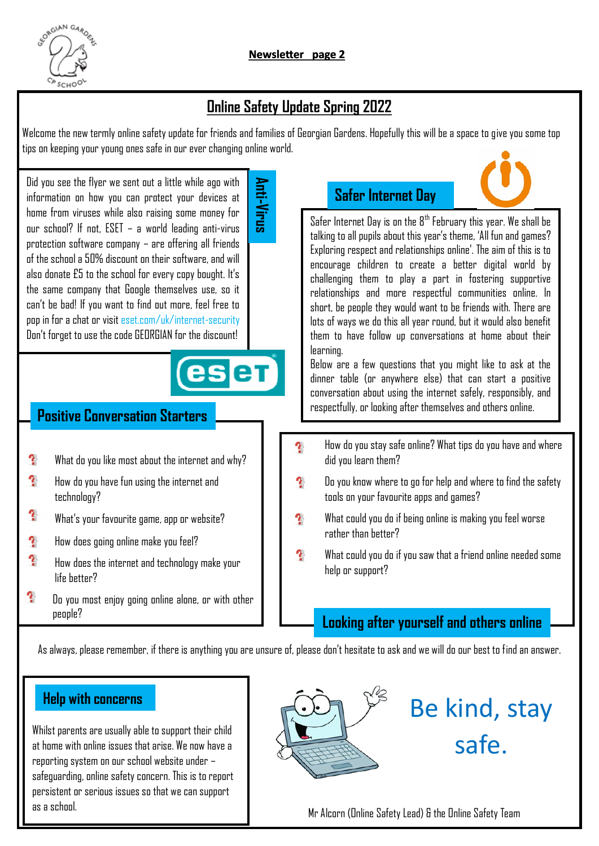

### **Online Safety Update Spring 2022**

Welcome the new termly online safety update for friends and families of Georgian Gardens. Hopefully this will be a space to give you some top tips on keeping your young ones safe in our ever changing online world.

**Anti-Virus**

Did you see the flyer we sent out a little while ago with information on how you can protect your devices at home from viruses while also raising some money for our school? If not, ESET – a world leading anti-virus protection software company – are offering all friends of the school a 50% discount on their software, and will also donate £5 to the school for every copy bought. It's the same company that Google themselves use, so it can't be bad! If you want to find out more, feel free to pop in for a chat or visit eset.com/uk/internet-security Don't forget to use the code GEORGIAN for the discount!

## eser

#### **Positive Conversation Starters**

- $\mathbf{\hat{r}}$ What do you like most about the internet and why?
- $\mathbf{r}$ How do you have fun using the internet and technology?
- $\mathbf{r}$ What's your favourite game, app or website?
- $\mathbf{r}$ How does going online make you feel?
- $\mathbf{r}$ How does the internet and technology make your life better?
- $\mathbf{\hat{r}}$ Do you most enjoy going online alone, or with other people?

### **Safer Internet Day**

Safer Internet Day is on the  $8<sup>th</sup>$  February this year. We shall be talking to all pupils about this year's theme, 'All fun and games? Exploring respect and relationships online'. The aim of this is to encourage children to create a better digital world by challenging them to play a part in fostering supportive relationships and more respectful communities online. In short, be people they would want to be friends with. There are lots of ways we do this all year round, but it would also benefit them to have follow up conversations at home about their learning.

Below are a few questions that you might like to ask at the dinner table (or anywhere else) that can start a positive conversation about using the internet safely, responsibly, and respectfully, or looking after themselves and others online.

- ą. How do you stay safe online? What tips do you have and where did you learn them?
- $\mathbf{\hat{r}}$ Do you know where to go for help and where to find the safety tools on your favourite apps and games?
- Y What could you do if being online is making you feel worse rather than better?
- $\mathbf{\hat{r}}$ What could you do if you saw that a friend online needed some help or support?

#### **Looking after yourself and others online**

As always, please remember, if there is anything you are unsure of, please don't hesitate to ask and we will do our best to find an answer.

Whilst parents are usually able to support their child at home with online issues that arise. We now have a reporting system on our school website under – safeguarding, online safety concern. This is to report persistent or serious issues so that we can support **Help with concerns**<br>Whilst parents are usually ab<br>at home with online issues th<br>reporting system on our schi<br>safeguarding, online safety ci<br>persistent or serious issues<br>as a school.



## Be kind, stay safe.

Mr Alcorn (Online Safety Lead) & the Online Safety Team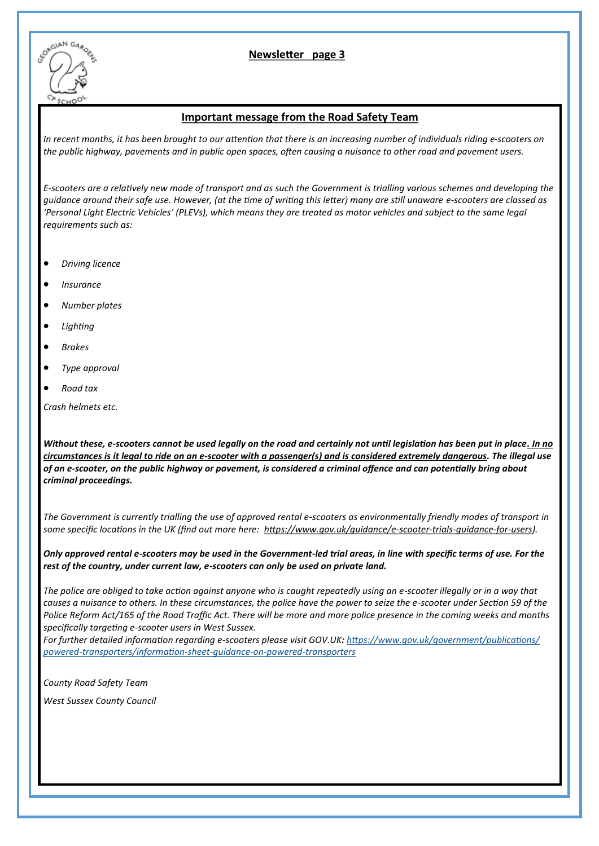

#### **Newsletter page 2 3**

#### **Important message from the Road Safety Team**

*In recent months, it has been brought to our attention that there is an increasing number of individuals riding e-scooters on the public highway, pavements and in public open spaces, often causing a nuisance to other road and pavement users.*

*E-scooters are a relatively new mode of transport and as such the Government is trialling various schemes and developing the guidance around their safe use. However, (at the time of writing this letter) many are still unaware e-scooters are classed as 'Personal Light Electric Vehicles' (PLEVs), which means they are treated as motor vehicles and subject to the same legal requirements such as:*

- *Driving licence*
- *Insurance*
- *Number plates*
- *Lighting*
- *Brakes*
- *Type approval*
- *Road tax*

*Crash helmets etc.*

*Without these, e-scooters cannot be used legally on the road and certainly not until legislation has been put in place. In no circumstances is it legal to ride on an e-scooter with a passenger(s) and is considered extremely dangerous. The illegal use of an e-scooter, on the public highway or pavement, is considered a criminal offence and can potentially bring about criminal proceedings.*

*The Government is currently trialling the use of approved rental e-scooters as environmentally friendly modes of transport in some specific locations in the UK (find out more here: [https://www.gov.uk/guidance/e](https://eur03.safelinks.protection.outlook.com/?url=https%3A%2F%2Fwww.gov.uk%2Fguidance%2Fe-scooter-trials-guidance-for-users&data=04|01|Nikki.MORRELL%40kent.police.uk|c7d55aeb525d4d8f832908d9000eeef0|f31b07f09cf940db964d6ff986a97e3d|0|0|637540886413561932|Un)-scooter-trials-guidance-for-users).*

*Only approved rental e-scooters may be used in the Government-led trial areas, in line with specific terms of use. For the rest of the country, under current law, e-scooters can only be used on private land.*

*The police are obliged to take action against anyone who is caught repeatedly using an e-scooter illegally or in a way that causes a nuisance to others. In these circumstances, the police have the power to seize the e-scooter under Section 59 of the Police Reform Act/165 of the Road Traffic Act. There will be more and more police presence in the coming weeks and months specifically targeting e-scooter users in West Sussex.*

*For further detailed information regarding e-scooters please visit GOV.UK: [https://www.gov.uk/government/publications/](https://eur03.safelinks.protection.outlook.com/?url=https%3A%2F%2Fwww.gov.uk%2Fgovernment%2Fpublications%2Fpowered-transporters%2Finformation-sheet-guidance-on-powered-transporters&data=04|01|Nikki.MORRELL%40kent.police.uk|c7d55aeb525d4d8f832908d9000eeef0|f31) powered-[transporters/information](https://eur03.safelinks.protection.outlook.com/?url=https%3A%2F%2Fwww.gov.uk%2Fgovernment%2Fpublications%2Fpowered-transporters%2Finformation-sheet-guidance-on-powered-transporters&data=04|01|Nikki.MORRELL%40kent.police.uk|c7d55aeb525d4d8f832908d9000eeef0|f31)-sheet-guidance-on-powered-transporters*

*County Road Safety Team*

*West Sussex County Council*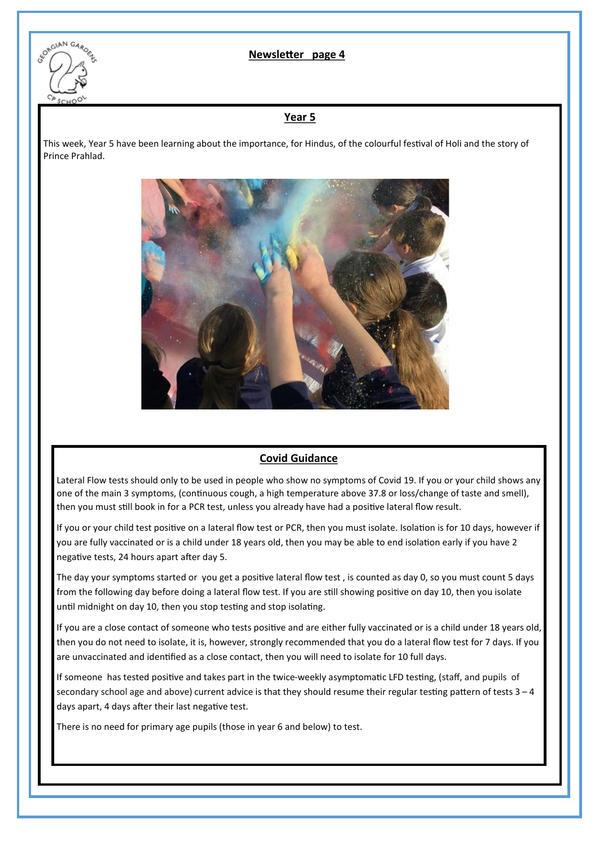

#### **Newsletter page 2 4**

#### **Year 5**

This week, Year 5 have been learning about the importance, for Hindus, of the colourful festival of Holi and the story of Prince Prahlad.



#### **Covid Guidance**

Lateral Flow tests should only to be used in people who show no symptoms of Covid 19. If you or your child shows any one of the main 3 symptoms, (continuous cough, a high temperature above 37.8 or loss/change of taste and smell), then you must still book in for a PCR test, unless you already have had a positive lateral flow result.

If you or your child test positive on a lateral flow test or PCR, then you must isolate. Isolation is for 10 days, however if you are fully vaccinated or is a child under 18 years old, then you may be able to end isolation early if you have 2 negative tests, 24 hours apart after day 5.

The day your symptoms started or you get a positive lateral flow test , is counted as day 0, so you must count 5 days from the following day before doing a lateral flow test. If you are still showing positive on day 10, then you isolate until midnight on day 10, then you stop testing and stop isolating.

If you are a close contact of someone who tests positive and are either fully vaccinated or is a child under 18 years old, then you do not need to isolate, it is, however, strongly recommended that you do a lateral flow test for 7 days. If you are unvaccinated and identified as a close contact, then you will need to isolate for 10 full days.

If someone has tested positive and takes part in the twice-weekly asymptomatic LFD testing, (staff, and pupils of secondary school age and above) current advice is that they should resume their regular testing pattern of tests 3 – 4 days apart, 4 days after their last negative test.

There is no need for primary age pupils (those in year 6 and below) to test.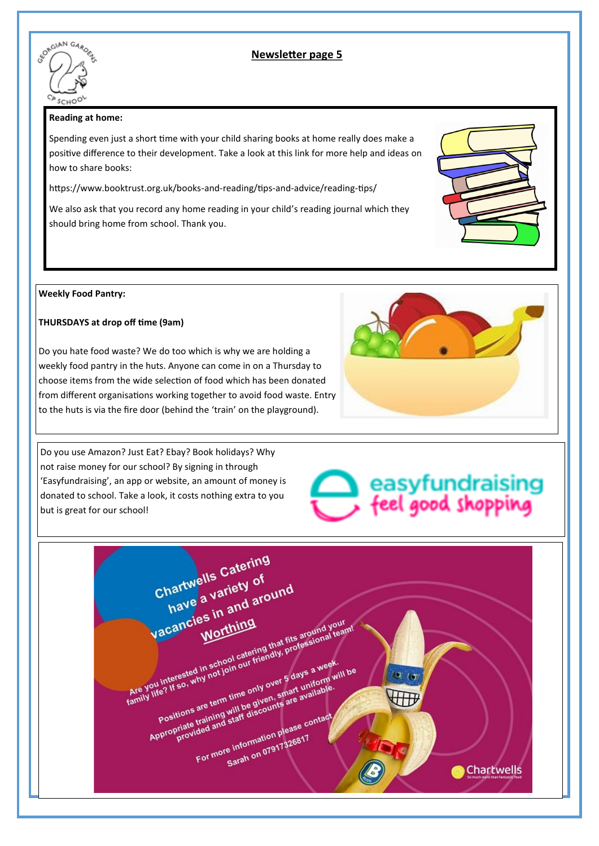

#### **Newsletter page 2 Newsletter page 5**

#### **Reading at home:**

Spending even just a short time with your child sharing books at home really does make a positive difference to their development. Take a look at this link for more help and ideas on how to share books:

https://www.booktrust.org.uk/books-and-reading/tips-and-advice/reading-tips/

We also ask that you record any home reading in your child's reading journal which they should bring home from school. Thank you.

#### **Weekly Food Pantry:**

#### **THURSDAYS at drop off time (9am)**

Do you hate food waste? We do too which is why we are holding a weekly food pantry in the huts. Anyone can come in on a Thursday to choose items from the wide selection of food which has been donated from different organisations working together to avoid food waste. Entry to the huts is via the fire door (behind the 'train' on the playground).

Do you use Amazon? Just Eat? Ebay? Book holidays? Why not raise money for our school? By signing in through 'Easyfundraising', an app or website, an amount of money is donated to school. Take a look, it costs nothing extra to you but is great for our school!

# easyfundraising<br>feel good shopping